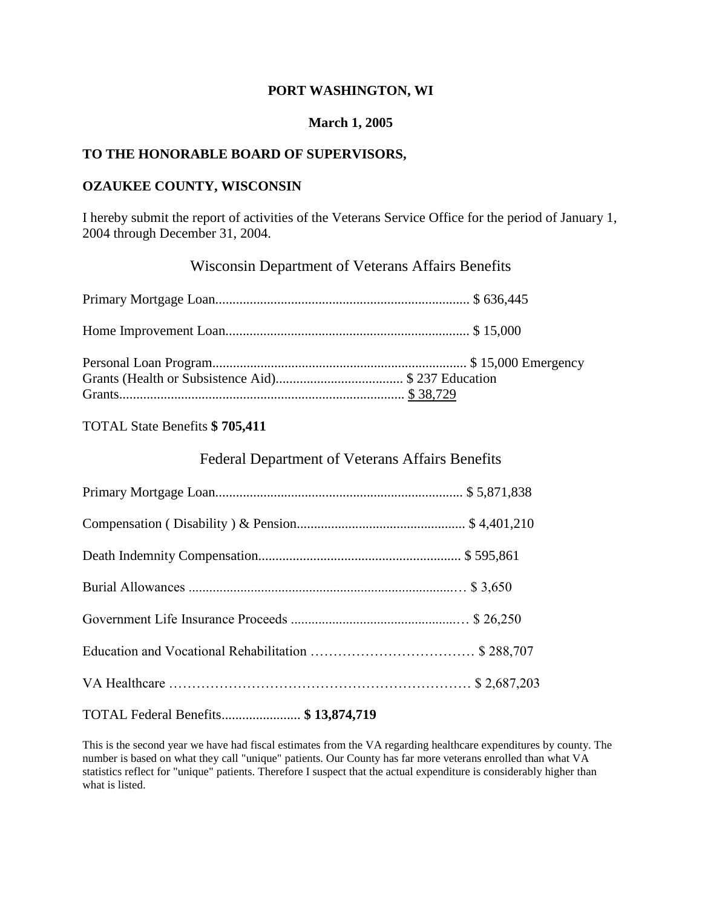#### **PORT WASHINGTON, WI**

### **March 1, 2005**

#### **TO THE HONORABLE BOARD OF SUPERVISORS,**

#### **OZAUKEE COUNTY, WISCONSIN**

I hereby submit the report of activities of the Veterans Service Office for the period of January 1, 2004 through December 31, 2004.

# Wisconsin Department of Veterans Affairs Benefits

### TOTAL State Benefits **\$ 705,411**

## Federal Department of Veterans Affairs Benefits

| TOTAL Federal Benefits \$13,874,719 |  |
|-------------------------------------|--|

This is the second year we have had fiscal estimates from the VA regarding healthcare expenditures by county. The number is based on what they call "unique" patients. Our County has far more veterans enrolled than what VA statistics reflect for "unique" patients. Therefore I suspect that the actual expenditure is considerably higher than what is listed.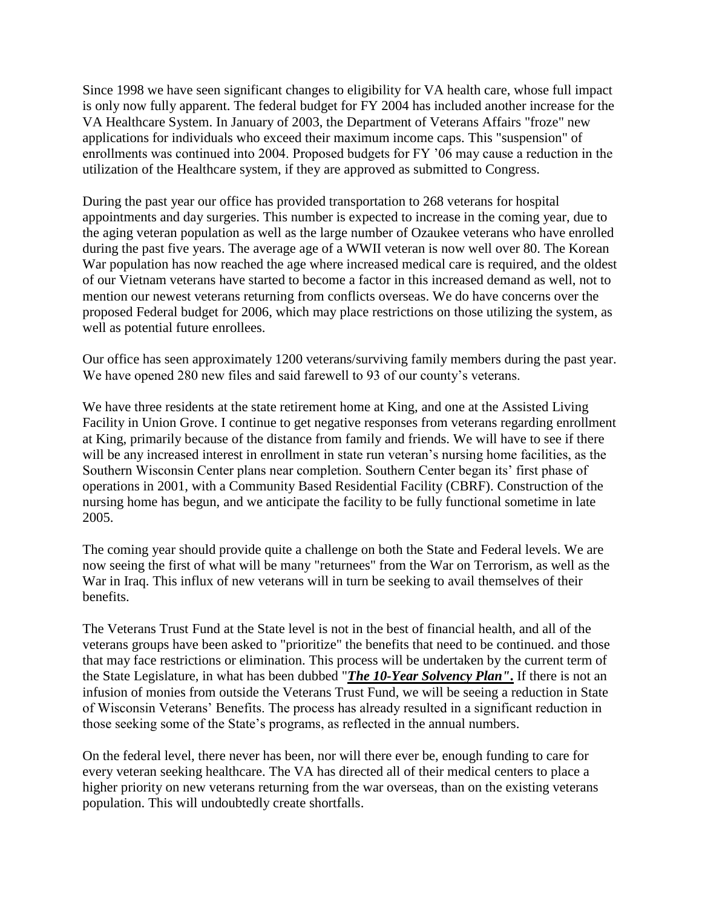Since 1998 we have seen significant changes to eligibility for VA health care, whose full impact is only now fully apparent. The federal budget for FY 2004 has included another increase for the VA Healthcare System. In January of 2003, the Department of Veterans Affairs "froze" new applications for individuals who exceed their maximum income caps. This "suspension" of enrollments was continued into 2004. Proposed budgets for FY '06 may cause a reduction in the utilization of the Healthcare system, if they are approved as submitted to Congress.

During the past year our office has provided transportation to 268 veterans for hospital appointments and day surgeries. This number is expected to increase in the coming year, due to the aging veteran population as well as the large number of Ozaukee veterans who have enrolled during the past five years. The average age of a WWII veteran is now well over 80. The Korean War population has now reached the age where increased medical care is required, and the oldest of our Vietnam veterans have started to become a factor in this increased demand as well, not to mention our newest veterans returning from conflicts overseas. We do have concerns over the proposed Federal budget for 2006, which may place restrictions on those utilizing the system, as well as potential future enrollees.

Our office has seen approximately 1200 veterans/surviving family members during the past year. We have opened 280 new files and said farewell to 93 of our county's veterans.

We have three residents at the state retirement home at King, and one at the Assisted Living Facility in Union Grove. I continue to get negative responses from veterans regarding enrollment at King, primarily because of the distance from family and friends. We will have to see if there will be any increased interest in enrollment in state run veteran's nursing home facilities, as the Southern Wisconsin Center plans near completion. Southern Center began its' first phase of operations in 2001, with a Community Based Residential Facility (CBRF). Construction of the nursing home has begun, and we anticipate the facility to be fully functional sometime in late 2005.

The coming year should provide quite a challenge on both the State and Federal levels. We are now seeing the first of what will be many "returnees" from the War on Terrorism, as well as the War in Iraq. This influx of new veterans will in turn be seeking to avail themselves of their benefits.

The Veterans Trust Fund at the State level is not in the best of financial health, and all of the veterans groups have been asked to "prioritize" the benefits that need to be continued. and those that may face restrictions or elimination. This process will be undertaken by the current term of the State Legislature, in what has been dubbed "*The 10-Year Solvency Plan"***.** If there is not an infusion of monies from outside the Veterans Trust Fund, we will be seeing a reduction in State of Wisconsin Veterans' Benefits. The process has already resulted in a significant reduction in those seeking some of the State's programs, as reflected in the annual numbers.

On the federal level, there never has been, nor will there ever be, enough funding to care for every veteran seeking healthcare. The VA has directed all of their medical centers to place a higher priority on new veterans returning from the war overseas, than on the existing veterans population. This will undoubtedly create shortfalls.